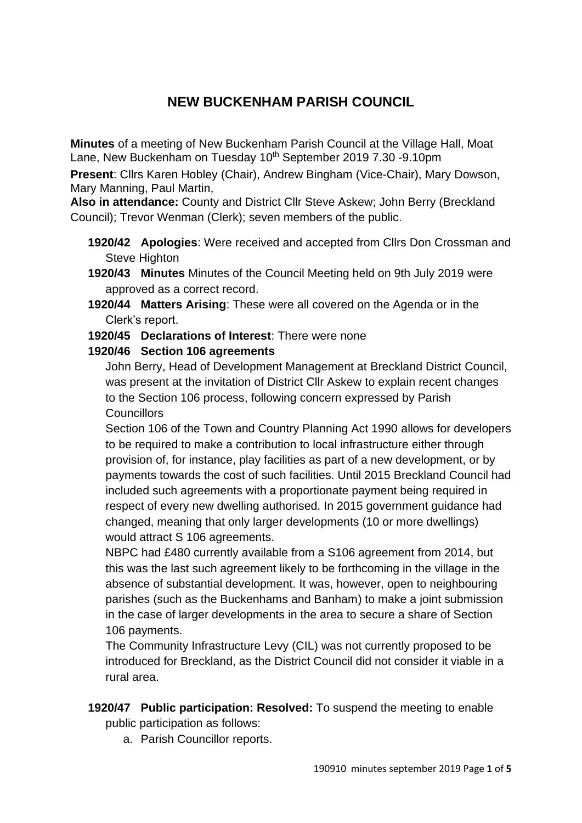# **NEW BUCKENHAM PARISH COUNCIL**

**Minutes** of a meeting of New Buckenham Parish Council at the Village Hall, Moat Lane, New Buckenham on Tuesday 10<sup>th</sup> September 2019 7.30 -9.10pm

**Present**: Cllrs Karen Hobley (Chair), Andrew Bingham (Vice-Chair), Mary Dowson, Mary Manning, Paul Martin,

**Also in attendance:** County and District Cllr Steve Askew; John Berry (Breckland Council); Trevor Wenman (Clerk); seven members of the public.

- **1920/42 Apologies**: Were received and accepted from Cllrs Don Crossman and Steve Highton
- **1920/43 Minutes** Minutes of the Council Meeting held on 9th July 2019 were approved as a correct record.
- **1920/44 Matters Arising**: These were all covered on the Agenda or in the Clerk's report.

## **1920/45 Declarations of Interest**: There were none

## **1920/46 Section 106 agreements**

John Berry, Head of Development Management at Breckland District Council, was present at the invitation of District Cllr Askew to explain recent changes to the Section 106 process, following concern expressed by Parish **Councillors** 

Section 106 of the Town and Country Planning Act 1990 allows for developers to be required to make a contribution to local infrastructure either through provision of, for instance, play facilities as part of a new development, or by payments towards the cost of such facilities. Until 2015 Breckland Council had included such agreements with a proportionate payment being required in respect of every new dwelling authorised. In 2015 government guidance had changed, meaning that only larger developments (10 or more dwellings) would attract S 106 agreements.

NBPC had £480 currently available from a S106 agreement from 2014, but this was the last such agreement likely to be forthcoming in the village in the absence of substantial development. It was, however, open to neighbouring parishes (such as the Buckenhams and Banham) to make a joint submission in the case of larger developments in the area to secure a share of Section 106 payments.

The Community Infrastructure Levy (CIL) was not currently proposed to be introduced for Breckland, as the District Council did not consider it viable in a rural area.

- **1920/47 Public participation: Resolved:** To suspend the meeting to enable public participation as follows:
	- a. Parish Councillor reports.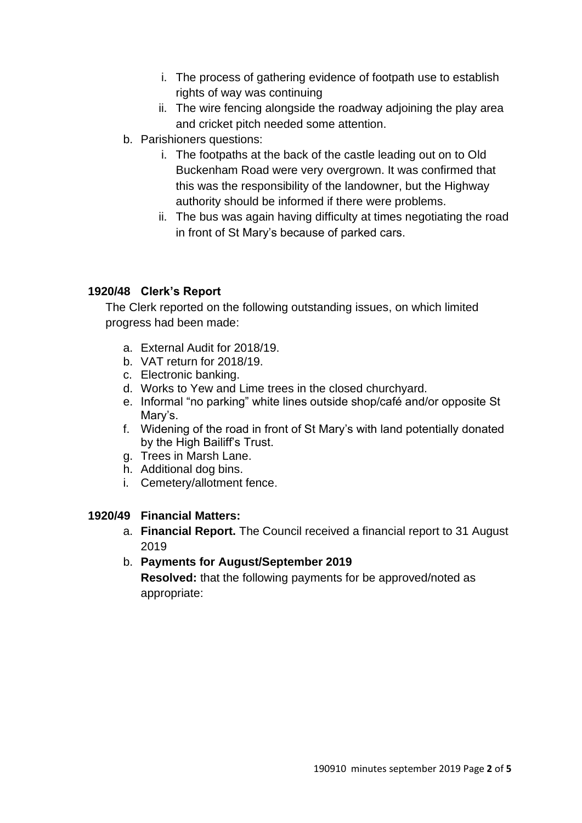- i. The process of gathering evidence of footpath use to establish rights of way was continuing
- ii. The wire fencing alongside the roadway adjoining the play area and cricket pitch needed some attention.
- b. Parishioners questions:
	- i. The footpaths at the back of the castle leading out on to Old Buckenham Road were very overgrown. It was confirmed that this was the responsibility of the landowner, but the Highway authority should be informed if there were problems.
	- ii. The bus was again having difficulty at times negotiating the road in front of St Mary's because of parked cars.

# **1920/48 Clerk's Report**

The Clerk reported on the following outstanding issues, on which limited progress had been made:

- a. External Audit for 2018/19.
- b. VAT return for 2018/19.
- c. Electronic banking.
- d. Works to Yew and Lime trees in the closed churchyard.
- e. Informal "no parking" white lines outside shop/café and/or opposite St Mary's.
- f. Widening of the road in front of St Mary's with land potentially donated by the High Bailiff's Trust.
- g. Trees in Marsh Lane.
- h. Additional dog bins.
- i. Cemetery/allotment fence.

# **1920/49 Financial Matters:**

a. **Financial Report.** The Council received a financial report to 31 August 2019

# b. **Payments for August/September 2019**

**Resolved:** that the following payments for be approved/noted as appropriate: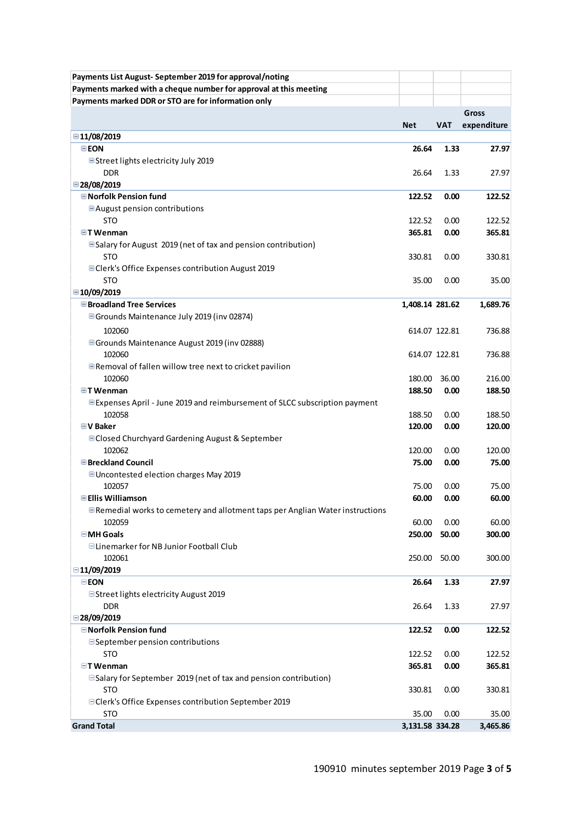| Payments List August-September 2019 for approval/noting                            |                 |               |             |
|------------------------------------------------------------------------------------|-----------------|---------------|-------------|
| Payments marked with a cheque number for approval at this meeting                  |                 |               |             |
| Payments marked DDR or STO are for information only                                |                 |               |             |
|                                                                                    |                 |               | Gross       |
|                                                                                    | <b>Net</b>      | <b>VAT</b>    | expenditure |
| ■11/08/2019                                                                        |                 |               |             |
| <b>EEON</b>                                                                        | 26.64           | 1.33          | 27.97       |
| ■Street lights electricity July 2019                                               |                 |               |             |
| <b>DDR</b>                                                                         | 26.64           | 1.33          | 27.97       |
| ■28/08/2019                                                                        |                 |               |             |
| <b>■ Norfolk Pension fund</b>                                                      | 122.52          | 0.00          | 122.52      |
| □ August pension contributions                                                     |                 |               |             |
| <b>STO</b>                                                                         | 122.52          | 0.00          | 122.52      |
| $\blacksquare$ T Wenman                                                            | 365.81          | 0.00          | 365.81      |
| <b>E</b> Salary for August 2019 (net of tax and pension contribution)              |                 |               |             |
| <b>STO</b>                                                                         | 330.81          | 0.00          | 330.81      |
| <b>□ Clerk's Office Expenses contribution August 2019</b>                          |                 |               |             |
| <b>STO</b>                                                                         | 35.00           | 0.00          | 35.00       |
| ■10/09/2019                                                                        |                 |               |             |
| <b>□ Broadland Tree Services</b>                                                   | 1,408.14 281.62 |               | 1,689.76    |
| <b>■ Grounds Maintenance July 2019 (inv 02874)</b>                                 |                 |               |             |
| 102060                                                                             |                 | 614.07 122.81 | 736.88      |
| <b>■ Grounds Maintenance August 2019 (inv 02888)</b>                               |                 |               |             |
| 102060                                                                             |                 | 614.07 122.81 | 736.88      |
| $\blacksquare$ Removal of fallen willow tree next to cricket pavilion              |                 |               |             |
| 102060                                                                             | 180.00          | 36.00         | 216.00      |
| $\Box$ T Wenman                                                                    | 188.50          | 0.00          | 188.50      |
| <b>■ Expenses April - June 2019 and reimbursement of SLCC subscription payment</b> |                 |               |             |
| 102058                                                                             | 188.50          | 0.00          | 188.50      |
| $\boxdot$ V Baker                                                                  | 120.00          | 0.00          | 120.00      |
| <b>■ Closed Churchyard Gardening August &amp; September</b>                        |                 |               |             |
| 102062                                                                             | 120.00          | 0.00          | 120.00      |
| <b>□ Breckland Council</b>                                                         | 75.00           | 0.00          | 75.00       |
| ■ Uncontested election charges May 2019                                            |                 |               |             |
| 102057                                                                             | 75.00           | 0.00          | 75.00       |
| <b>■Ellis Williamson</b>                                                           | 60.00           | 0.00          | 60.00       |
| ■ Remedial works to cemetery and allotment taps per Anglian Water instructions     |                 |               |             |
| 102059                                                                             | 60.00           | 0.00          | 60.00       |
| <b>⊟MH</b> Goals                                                                   | 250.00          | 50.00         | 300.00      |
| □Linemarker for NB Junior Football Club                                            |                 |               |             |
| 102061                                                                             | 250.00          | 50.00         | 300.00      |
| $\Box$ 11/09/2019                                                                  |                 |               |             |
| $\boxminus$ EON                                                                    | 26.64           | 1.33          | 27.97       |
| □ Street lights electricity August 2019                                            |                 |               |             |
| <b>DDR</b>                                                                         | 26.64           | 1.33          | 27.97       |
| $\Box$ 28/09/2019                                                                  |                 |               |             |
| □ Norfolk Pension fund                                                             | 122.52          | 0.00          | 122.52      |
| □ September pension contributions                                                  |                 |               |             |
| <b>STO</b>                                                                         | 122.52          | 0.00          | 122.52      |
| $\exists$ T Wenman                                                                 | 365.81          | 0.00          | 365.81      |
| □ Salary for September 2019 (net of tax and pension contribution)                  |                 |               |             |
| <b>STO</b>                                                                         | 330.81          | 0.00          | 330.81      |
| □ Clerk's Office Expenses contribution September 2019                              |                 |               |             |
| <b>STO</b>                                                                         | 35.00           | 0.00          | 35.00       |
| <b>Grand Total</b>                                                                 | 3,131.58 334.28 |               | 3,465.86    |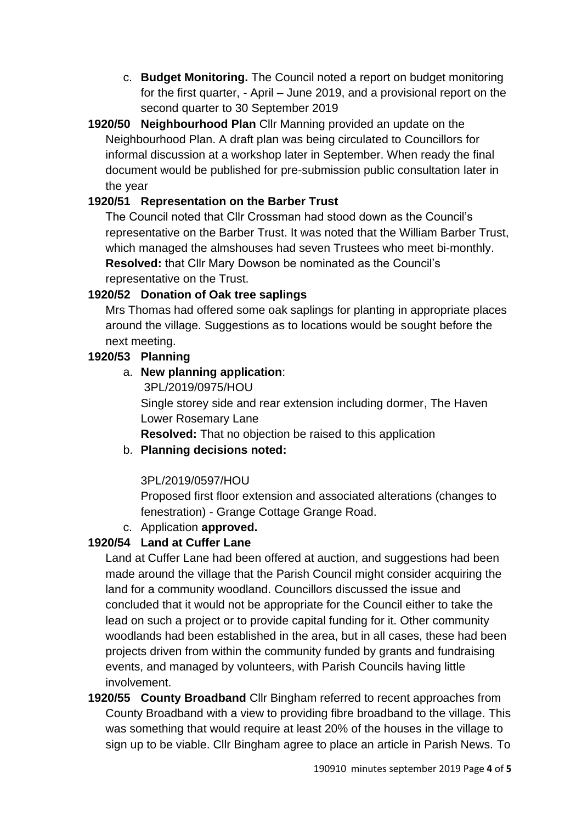- c. **Budget Monitoring.** The Council noted a report on budget monitoring for the first quarter, - April – June 2019, and a provisional report on the second quarter to 30 September 2019
- **1920/50 Neighbourhood Plan** Cllr Manning provided an update on the Neighbourhood Plan. A draft plan was being circulated to Councillors for informal discussion at a workshop later in September. When ready the final document would be published for pre-submission public consultation later in the year

## **1920/51 Representation on the Barber Trust**

The Council noted that Cllr Crossman had stood down as the Council's representative on the Barber Trust. It was noted that the William Barber Trust, which managed the almshouses had seven Trustees who meet bi-monthly. **Resolved:** that Cllr Mary Dowson be nominated as the Council's representative on the Trust.

## **1920/52 Donation of Oak tree saplings**

Mrs Thomas had offered some oak saplings for planting in appropriate places around the village. Suggestions as to locations would be sought before the next meeting.

## **1920/53 Planning**

## a. **New planning application**:

3PL/2019/0975/HOU

Single storey side and rear extension including dormer, The Haven Lower Rosemary Lane

**Resolved:** That no objection be raised to this application

## b. **Planning decisions noted:**

# 3PL/2019/0597/HOU

Proposed first floor extension and associated alterations (changes to fenestration) - Grange Cottage Grange Road.

# c. Application **approved.**

# **1920/54 Land at Cuffer Lane**

Land at Cuffer Lane had been offered at auction, and suggestions had been made around the village that the Parish Council might consider acquiring the land for a community woodland. Councillors discussed the issue and concluded that it would not be appropriate for the Council either to take the lead on such a project or to provide capital funding for it. Other community woodlands had been established in the area, but in all cases, these had been projects driven from within the community funded by grants and fundraising events, and managed by volunteers, with Parish Councils having little involvement.

**1920/55 County Broadband** Cllr Bingham referred to recent approaches from County Broadband with a view to providing fibre broadband to the village. This was something that would require at least 20% of the houses in the village to sign up to be viable. Cllr Bingham agree to place an article in Parish News. To